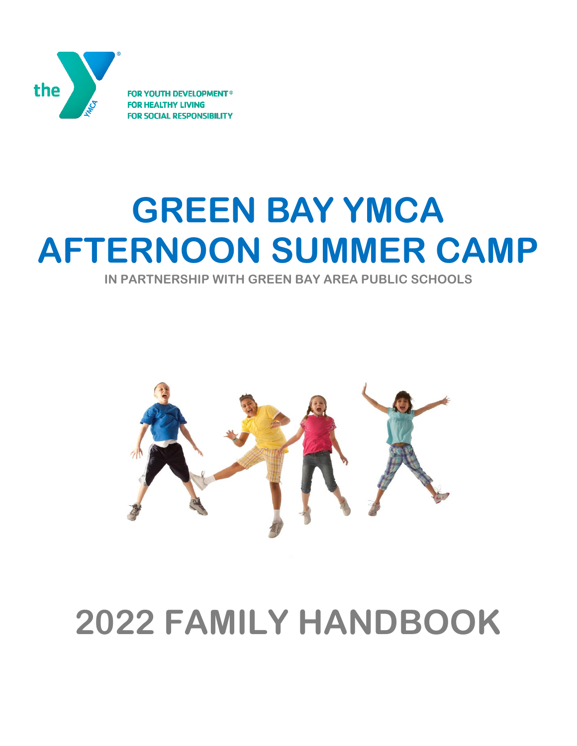

**DEVELOPMENT® FOR YOUTH L RESPONSIBILITY** 

# **GREEN BAY YMCA AFTERNOON SUMMER CAMP**

**IN PARTNERSHIP WITH GREEN BAY AREA PUBLIC SCHOOLS**



## **2022 FAMILY HANDBOOK**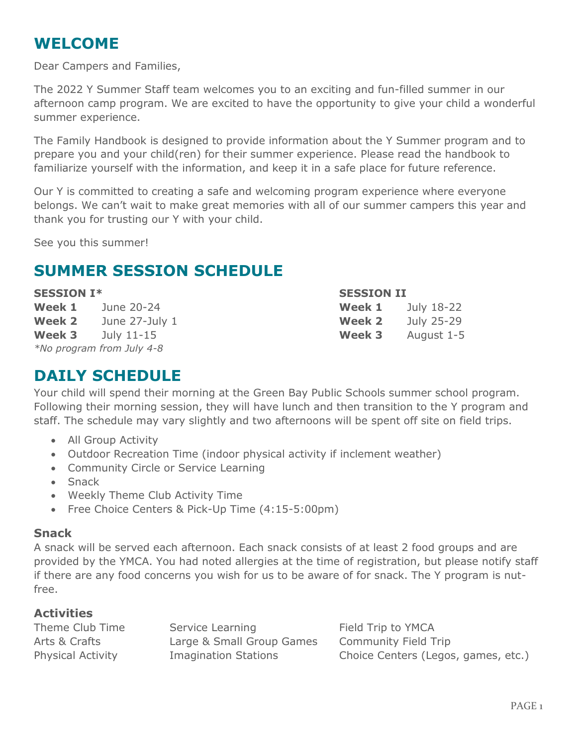## **WELCOME**

Dear Campers and Families,

The 2022 Y Summer Staff team welcomes you to an exciting and fun-filled summer in our afternoon camp program. We are excited to have the opportunity to give your child a wonderful summer experience.

The Family Handbook is designed to provide information about the Y Summer program and to prepare you and your child(ren) for their summer experience. Please read the handbook to familiarize yourself with the information, and keep it in a safe place for future reference.

Our Y is committed to creating a safe and welcoming program experience where everyone belongs. We can't wait to make great memories with all of our summer campers this year and thank you for trusting our Y with your child.

See you this summer!

## **SUMMER SESSION SCHEDULE**

**Week 1** June 20-24 **Week 2** June 27-July 1 **Week 3** July 11-15 *\*No program from July 4-8*

#### **SESSION I\* SESSION II**

| Week 1        | July 18-22 |
|---------------|------------|
| <b>Week 2</b> | July 25-29 |
| <b>Week 3</b> | August 1-5 |

## **DAILY SCHEDULE**

Your child will spend their morning at the Green Bay Public Schools summer school program. Following their morning session, they will have lunch and then transition to the Y program and staff. The schedule may vary slightly and two afternoons will be spent off site on field trips.

- All Group Activity
- Outdoor Recreation Time (indoor physical activity if inclement weather)
- Community Circle or Service Learning
- Snack
- Weekly Theme Club Activity Time
- Free Choice Centers & Pick-Up Time (4:15-5:00pm)

#### **Snack**

A snack will be served each afternoon. Each snack consists of at least 2 food groups and are provided by the YMCA. You had noted allergies at the time of registration, but please notify staff if there are any food concerns you wish for us to be aware of for snack. The Y program is nutfree.

#### **Activities**

Theme Club Time Service Learning Theme Club Time Arts & Crafts **Large & Small Group Games** Community Field Trip Physical Activity Imagination Stations Choice Centers (Legos, games, etc.)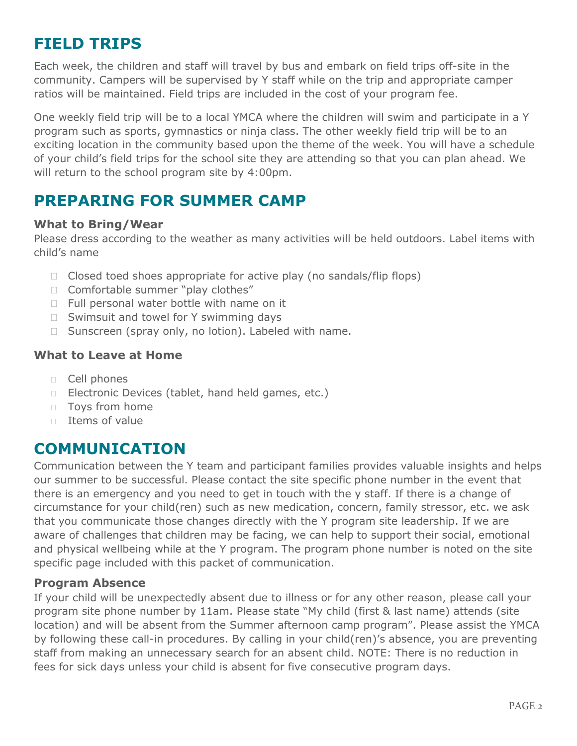## **FIELD TRIPS**

Each week, the children and staff will travel by bus and embark on field trips off-site in the community. Campers will be supervised by Y staff while on the trip and appropriate camper ratios will be maintained. Field trips are included in the cost of your program fee.

One weekly field trip will be to a local YMCA where the children will swim and participate in a Y program such as sports, gymnastics or ninja class. The other weekly field trip will be to an exciting location in the community based upon the theme of the week. You will have a schedule of your child's field trips for the school site they are attending so that you can plan ahead. We will return to the school program site by 4:00pm.

## **PREPARING FOR SUMMER CAMP**

#### **What to Bring/Wear**

Please dress according to the weather as many activities will be held outdoors. Label items with child's name

- $\Box$  Closed toed shoes appropriate for active play (no sandals/flip flops)
- □ Comfortable summer "play clothes"
- $\Box$  Full personal water bottle with name on it
- □ Swimsuit and towel for Y swimming days
- □ Sunscreen (spray only, no lotion). Labeled with name.

#### **What to Leave at Home**

- Cell phones
- D Electronic Devices (tablet, hand held games, etc.)
- **Toys from home**
- $\Box$  Items of value

## **COMMUNICATION**

Communication between the Y team and participant families provides valuable insights and helps our summer to be successful. Please contact the site specific phone number in the event that there is an emergency and you need to get in touch with the y staff. If there is a change of circumstance for your child(ren) such as new medication, concern, family stressor, etc. we ask that you communicate those changes directly with the Y program site leadership. If we are aware of challenges that children may be facing, we can help to support their social, emotional and physical wellbeing while at the Y program. The program phone number is noted on the site specific page included with this packet of communication.

#### **Program Absence**

If your child will be unexpectedly absent due to illness or for any other reason, please call your program site phone number by 11am. Please state "My child (first & last name) attends (site location) and will be absent from the Summer afternoon camp program". Please assist the YMCA by following these call-in procedures. By calling in your child(ren)'s absence, you are preventing staff from making an unnecessary search for an absent child. NOTE: There is no reduction in fees for sick days unless your child is absent for five consecutive program days.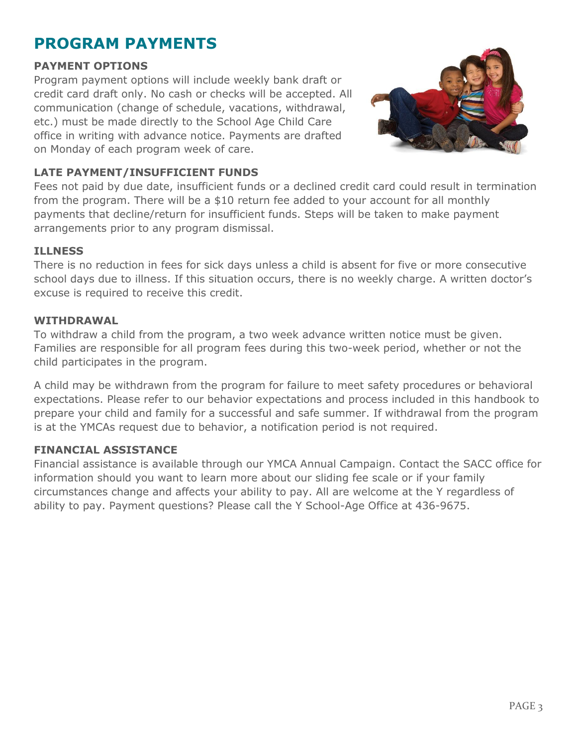## **PROGRAM PAYMENTS**

#### **PAYMENT OPTIONS**

Program payment options will include weekly bank draft or credit card draft only. No cash or checks will be accepted. All communication (change of schedule, vacations, withdrawal, etc.) must be made directly to the School Age Child Care office in writing with advance notice. Payments are drafted on Monday of each program week of care.



#### **LATE PAYMENT/INSUFFICIENT FUNDS**

Fees not paid by due date, insufficient funds or a declined credit card could result in termination from the program. There will be a \$10 return fee added to your account for all monthly payments that decline/return for insufficient funds. Steps will be taken to make payment arrangements prior to any program dismissal.

#### **ILLNESS**

There is no reduction in fees for sick days unless a child is absent for five or more consecutive school days due to illness. If this situation occurs, there is no weekly charge. A written doctor's excuse is required to receive this credit.

#### **WITHDRAWAL**

To withdraw a child from the program, a two week advance written notice must be given. Families are responsible for all program fees during this two-week period, whether or not the child participates in the program.

A child may be withdrawn from the program for failure to meet safety procedures or behavioral expectations. Please refer to our behavior expectations and process included in this handbook to prepare your child and family for a successful and safe summer. If withdrawal from the program is at the YMCAs request due to behavior, a notification period is not required.

#### **FINANCIAL ASSISTANCE**

Financial assistance is available through our YMCA Annual Campaign. Contact the SACC office for information should you want to learn more about our sliding fee scale or if your family circumstances change and affects your ability to pay. All are welcome at the Y regardless of ability to pay. Payment questions? Please call the Y School-Age Office at 436-9675.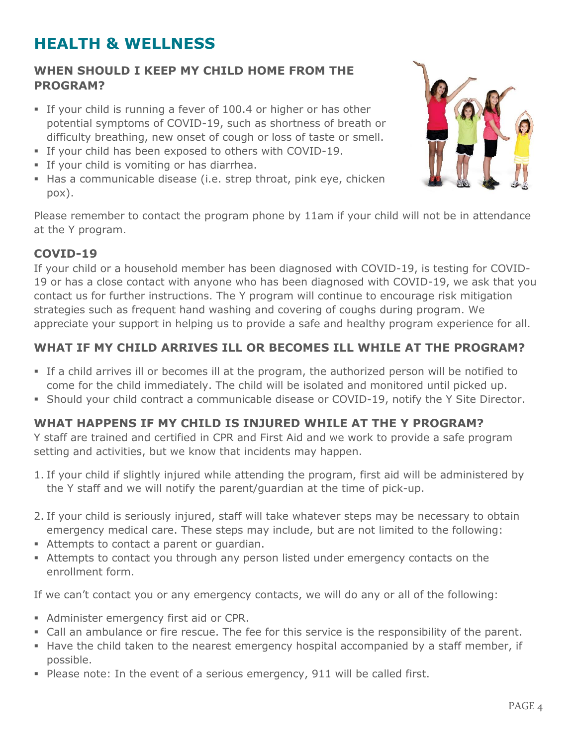## **HEALTH & WELLNESS**

#### **WHEN SHOULD I KEEP MY CHILD HOME FROM THE PROGRAM?**

- If your child is running a fever of 100.4 or higher or has other potential symptoms of COVID-19, such as shortness of breath or difficulty breathing, new onset of cough or loss of taste or smell.
- If your child has been exposed to others with COVID-19.
- **If your child is vomiting or has diarrhea.**
- Has a communicable disease (i.e. strep throat, pink eye, chicken pox).



Please remember to contact the program phone by 11am if your child will not be in attendance at the Y program.

#### **COVID-19**

If your child or a household member has been diagnosed with COVID-19, is testing for COVID-19 or has a close contact with anyone who has been diagnosed with COVID-19, we ask that you contact us for further instructions. The Y program will continue to encourage risk mitigation strategies such as frequent hand washing and covering of coughs during program. We appreciate your support in helping us to provide a safe and healthy program experience for all.

### **WHAT IF MY CHILD ARRIVES ILL OR BECOMES ILL WHILE AT THE PROGRAM?**

- If a child arrives ill or becomes ill at the program, the authorized person will be notified to come for the child immediately. The child will be isolated and monitored until picked up.
- Should your child contract a communicable disease or COVID-19, notify the Y Site Director.

#### **WHAT HAPPENS IF MY CHILD IS INJURED WHILE AT THE Y PROGRAM?**

Y staff are trained and certified in CPR and First Aid and we work to provide a safe program setting and activities, but we know that incidents may happen.

- 1. If your child if slightly injured while attending the program, first aid will be administered by the Y staff and we will notify the parent/guardian at the time of pick-up.
- 2. If your child is seriously injured, staff will take whatever steps may be necessary to obtain emergency medical care. These steps may include, but are not limited to the following:
- Attempts to contact a parent or guardian.
- Attempts to contact you through any person listed under emergency contacts on the enrollment form.

If we can't contact you or any emergency contacts, we will do any or all of the following:

- Administer emergency first aid or CPR.
- Call an ambulance or fire rescue. The fee for this service is the responsibility of the parent.
- **H** Have the child taken to the nearest emergency hospital accompanied by a staff member, if possible.
- Please note: In the event of a serious emergency, 911 will be called first.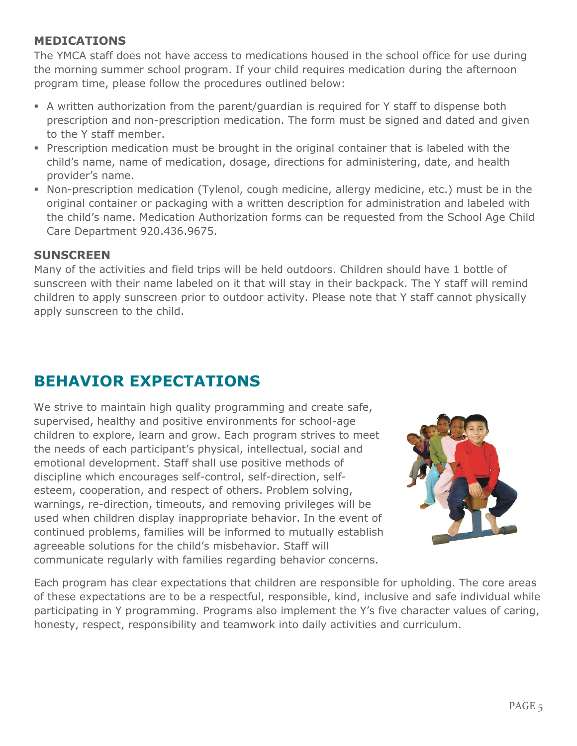#### **MEDICATIONS**

The YMCA staff does not have access to medications housed in the school office for use during the morning summer school program. If your child requires medication during the afternoon program time, please follow the procedures outlined below:

- A written authorization from the parent/guardian is required for Y staff to dispense both prescription and non-prescription medication. The form must be signed and dated and given to the Y staff member.
- Prescription medication must be brought in the original container that is labeled with the child's name, name of medication, dosage, directions for administering, date, and health provider's name.
- Non-prescription medication (Tylenol, cough medicine, allergy medicine, etc.) must be in the original container or packaging with a written description for administration and labeled with the child's name. Medication Authorization forms can be requested from the School Age Child Care Department 920.436.9675.

#### **SUNSCREEN**

Many of the activities and field trips will be held outdoors. Children should have 1 bottle of sunscreen with their name labeled on it that will stay in their backpack. The Y staff will remind children to apply sunscreen prior to outdoor activity. Please note that Y staff cannot physically apply sunscreen to the child.

## **BEHAVIOR EXPECTATIONS**

We strive to maintain high quality programming and create safe, supervised, healthy and positive environments for school-age children to explore, learn and grow. Each program strives to meet the needs of each participant's physical, intellectual, social and emotional development. Staff shall use positive methods of discipline which encourages self-control, self-direction, selfesteem, cooperation, and respect of others. Problem solving, warnings, re-direction, timeouts, and removing privileges will be used when children display inappropriate behavior. In the event of continued problems, families will be informed to mutually establish agreeable solutions for the child's misbehavior. Staff will communicate regularly with families regarding behavior concerns.



Each program has clear expectations that children are responsible for upholding. The core areas of these expectations are to be a respectful, responsible, kind, inclusive and safe individual while participating in Y programming. Programs also implement the Y's five character values of caring, honesty, respect, responsibility and teamwork into daily activities and curriculum.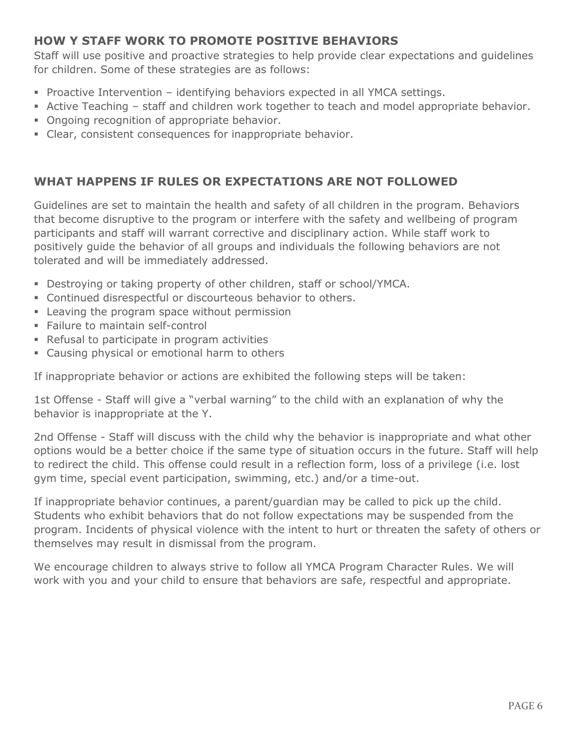#### **HOW Y STAFF WORK TO PROMOTE POSITIVE BEHAVIORS**

Staff will use positive and proactive strategies to help provide clear expectations and guidelines for children. Some of these strategies are as follows:

- Proactive Intervention identifying behaviors expected in all YMCA settings.
- Active Teaching staff and children work together to teach and model appropriate behavior.
- **Ongoing recognition of appropriate behavior.**
- Clear, consistent consequences for inappropriate behavior.

#### **WHAT HAPPENS IF RULES OR EXPECTATIONS ARE NOT FOLLOWED**

Guidelines are set to maintain the health and safety of all children in the program. Behaviors that become disruptive to the program or interfere with the safety and wellbeing of program participants and staff will warrant corrective and disciplinary action. While staff work to positively guide the behavior of all groups and individuals the following behaviors are not tolerated and will be immediately addressed.

- Destroying or taking property of other children, staff or school/YMCA.
- Continued disrespectful or discourteous behavior to others.
- **EXEC** Leaving the program space without permission
- **Failure to maintain self-control**
- Refusal to participate in program activities
- **Example 2** Causing physical or emotional harm to others

If inappropriate behavior or actions are exhibited the following steps will be taken:

1st Offense - Staff will give a "verbal warning" to the child with an explanation of why the behavior is inappropriate at the Y.

2nd Offense - Staff will discuss with the child why the behavior is inappropriate and what other options would be a better choice if the same type of situation occurs in the future. Staff will help to redirect the child. This offense could result in a reflection form, loss of a privilege (i.e. lost gym time, special event participation, swimming, etc.) and/or a time-out.

If inappropriate behavior continues, a parent/guardian may be called to pick up the child. Students who exhibit behaviors that do not follow expectations may be suspended from the program. Incidents of physical violence with the intent to hurt or threaten the safety of others or themselves may result in dismissal from the program.

We encourage children to always strive to follow all YMCA Program Character Rules. We will work with you and your child to ensure that behaviors are safe, respectful and appropriate.